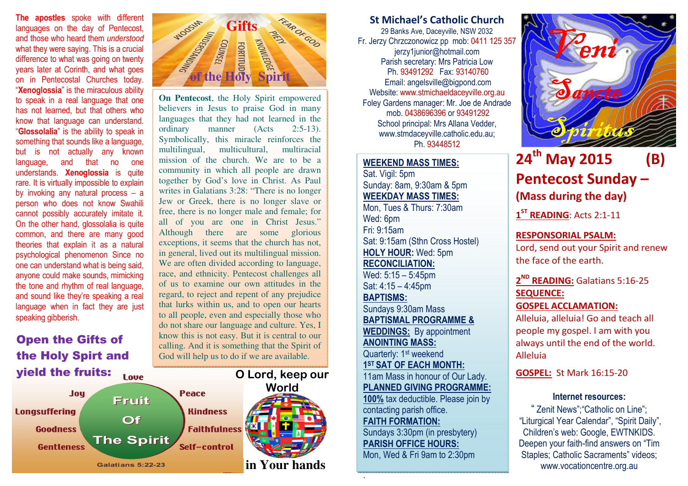**The apostles** spoke with different languages on the day of Pentecost, and those who heard them understood what they were saying. This is a crucial difference to what was going on twenty years later at Corinth, and what goes on in Pentecostal Churches today. "Xenoglossia" is the miraculous ability to speak in a real language that one has not learned, but that others who know that language can understand. "Glossolalia" is the ability to speak in something that sounds like a language, but is not actually any known language, and that no one understands. Xenoglossia is quite rare. It is virtually impossible to explain by invoking any natural process – a person who does not know Swahili cannot possibly accurately imitate it. On the other hand, glossolalia is quite common, and there are many good theories that explain it as a natural psychological phenomenon Since no one can understand what is being said, anyone could make sounds, mimicking the tone and rhythm of real language, and sound like they're speaking a real language when in fact they are just speaking gibberish.

Open the Gifts of the Holy Spirt and yield the fruits:





**On Pentecost**, the Holy Spirit empowered believers in Jesus to praise God in many languages that they had not learned in the ordinary manner (Acts 2:5-13). Symbolically, this miracle reinforces the multiracial multilingual, multicultural, mission of the church. We are to be a community in which all people are drawn together by God's love in Christ. As Paul writes in Galatians 3:28: "There is no longer Jew or Greek, there is no longer slave or free, there is no longer male and female; for all of you are one in Christ Jesus." Although there are some glorious exceptions, it seems that the church has not, in general, lived out its multilingual mission. We are often divided according to language, race, and ethnicity. Pentecost challenges all of us to examine our own attitudes in the regard, to reject and repent of any prejudice that lurks within us, and to open our hearts to all people, even and especially those who do not share our language and culture. Yes, I know this is not easy. But it is central to our calling. And it is something that the Spirit of God will help us to do if we are available.

## St Michael's Catholic Church

29 Banks Ave, Daceyville, NSW 2032 Fr. Jerzy Chrzczonowicz pp mob: 0411 125 357jerzy1junior@hotmail.com Parish secretary: Mrs Patricia Low Ph. 93491292 Fax: 93140760 Email: angelsville@bigpond.com Website: www.stmichaeldaceyville.org.au Foley Gardens manager: Mr. Joe de Andrade mob. 0438696396 or 93491292 School principal: Mrs Allana Vedder, www.stmdaceyville.catholic.edu.au; Ph. 93448512

## WEEKEND MASS TIMES:

Sat. Vigil: 5pm Sunday: 8am, 9:30am & 5pm WEEKDAY MASS TIMES: Mon, Tues & Thurs: 7:30am Wed: 6pm Fri: 9:15am Sat: 9:15am (Sthn Cross Hostel) HOLY HOUR: Wed: 5pm RECONCILIATION: Wed: 5:15 – 5:45pm Sat: 4:15 – 4:45pm

BAPTISMS: Sundays 9:30am Mass BAPTISMAL PROGRAMME & WEDDINGS: By appointment ANOINTING MASS: Quarterly: 1<sup>st</sup> weekend 1ST SAT OF EACH MONTH: 11am Mass in honour of Our Lady. PLANNED GIVING PROGRAMME: 100% tax deductible. Please join by contacting parish office. FAITH FORMATION: Sundays 3:30pm (in presbytery) PARISH OFFICE HOURS: Mon, Wed & Fri 9am to 2:30pm

.



# 24<sup>th</sup> May 2015 (B) Pentecost Sunday – (Mass during the day)

1<sup>ST</sup> READING: Acts 2:1-11

## RESPONSORIAL PSALM:

Lord, send out your Spirit and renew the face of the earth.

2<sup>ND</sup> READING: Galatians 5:16-25 SEQUENCE:

GOSPEL ACCLAMATION:

Alleluia, alleluia! Go and teach all people my gospel. I am with you always until the end of the world. Alleluia

GOSPEL: St Mark 16:15-20

#### Internet resources:

" Zenit News";"Catholic on Line"; "Liturgical Year Calendar", "Spirit Daily", Children's web: Google, EWTNKIDS. Deepen your faith-find answers on "Tim Staples; Catholic Sacraments" videos; www.vocationcentre.org.au